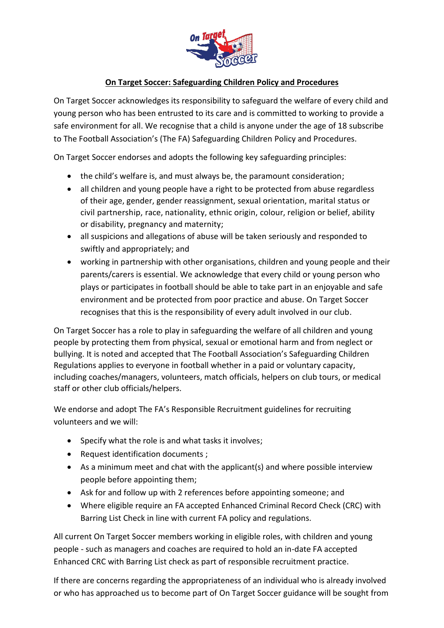

## **On Target Soccer: Safeguarding Children Policy and Procedures**

On Target Soccer acknowledges its responsibility to safeguard the welfare of every child and young person who has been entrusted to its care and is committed to working to provide a safe environment for all. We recognise that a child is anyone under the age of 18 subscribe to The Football Association's (The FA) Safeguarding Children Policy and Procedures.

On Target Soccer endorses and adopts the following key safeguarding principles:

- the child's welfare is, and must always be, the paramount consideration;
- all children and young people have a right to be protected from abuse regardless of their age, gender, gender reassignment, sexual orientation, marital status or civil partnership, race, nationality, ethnic origin, colour, religion or belief, ability or disability, pregnancy and maternity;
- all suspicions and allegations of abuse will be taken seriously and responded to swiftly and appropriately; and
- working in partnership with other organisations, children and young people and their parents/carers is essential. We acknowledge that every child or young person who plays or participates in football should be able to take part in an enjoyable and safe environment and be protected from poor practice and abuse. On Target Soccer recognises that this is the responsibility of every adult involved in our club.

On Target Soccer has a role to play in safeguarding the welfare of all children and young people by protecting them from physical, sexual or emotional harm and from neglect or bullying. It is noted and accepted that The Football Association's Safeguarding Children Regulations applies to everyone in football whether in a paid or voluntary capacity, including coaches/managers, volunteers, match officials, helpers on club tours, or medical staff or other club officials/helpers.

We endorse and adopt The FA's Responsible Recruitment guidelines for recruiting volunteers and we will:

- Specify what the role is and what tasks it involves;
- Request identification documents ;
- As a minimum meet and chat with the applicant(s) and where possible interview people before appointing them;
- Ask for and follow up with 2 references before appointing someone; and
- Where eligible require an FA accepted Enhanced Criminal Record Check (CRC) with Barring List Check in line with current FA policy and regulations.

All current On Target Soccer members working in eligible roles, with children and young people - such as managers and coaches are required to hold an in-date FA accepted Enhanced CRC with Barring List check as part of responsible recruitment practice.

If there are concerns regarding the appropriateness of an individual who is already involved or who has approached us to become part of On Target Soccer guidance will be sought from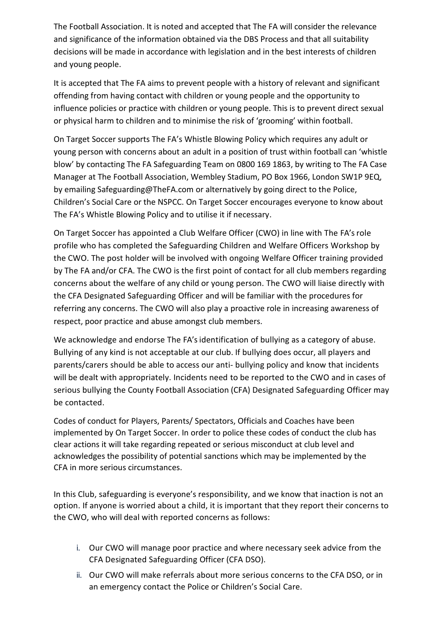The Football Association. It is noted and accepted that The FA will consider the relevance and significance of the information obtained via the DBS Process and that all suitability decisions will be made in accordance with legislation and in the best interests of children and young people.

It is accepted that The FA aims to prevent people with a history of relevant and significant offending from having contact with children or young people and the opportunity to influence policies or practice with children or young people. This is to prevent direct sexual or physical harm to children and to minimise the risk of 'grooming' within football.

On Target Soccer supports The FA's Whistle Blowing Policy which requires any adult or young person with concerns about an adult in a position of trust within football can 'whistle blow' by contacting The FA Safeguarding Team on 0800 169 1863, by writing to The FA Case Manager at The Football Association, Wembley Stadium, PO Box 1966, London SW1P 9EQ, by emailing Safeguarding@TheFA.com or alternatively by going direct to the Police, Children's Social Care or the NSPCC. On Target Soccer encourages everyone to know about The FA's Whistle Blowing Policy and to utilise it if necessary.

On Target Soccer has appointed a Club Welfare Officer (CWO) in line with The FA's role profile who has completed the Safeguarding Children and Welfare Officers Workshop by the CWO. The post holder will be involved with ongoing Welfare Officer training provided by The FA and/or CFA. The CWO is the first point of contact for all club members regarding concerns about the welfare of any child or young person. The CWO will liaise directly with the CFA Designated Safeguarding Officer and will be familiar with the procedures for referring any concerns. The CWO will also play a proactive role in increasing awareness of respect, poor practice and abuse amongst club members.

We acknowledge and endorse The FA's identification of bullying as a category of abuse. Bullying of any kind is not acceptable at our club. If bullying does occur, all players and parents/carers should be able to access our anti- bullying policy and know that incidents will be dealt with appropriately. Incidents need to be reported to the CWO and in cases of serious bullying the County Football Association (CFA) Designated Safeguarding Officer may be contacted.

Codes of conduct for Players, Parents/ Spectators, Officials and Coaches have been implemented by On Target Soccer. In order to police these codes of conduct the club has clear actions it will take regarding repeated or serious misconduct at club level and acknowledges the possibility of potential sanctions which may be implemented by the CFA in more serious circumstances.

In this Club, safeguarding is everyone's responsibility, and we know that inaction is not an option. If anyone is worried about a child, it is important that they report their concerns to the CWO, who will deal with reported concerns as follows:

- i. Our CWO will manage poor practice and where necessary seek advice from the CFA Designated Safeguarding Officer (CFA DSO).
- ii. Our CWO will make referrals about more serious concerns to the CFA DSO, or in an emergency contact the Police or Children's Social Care.